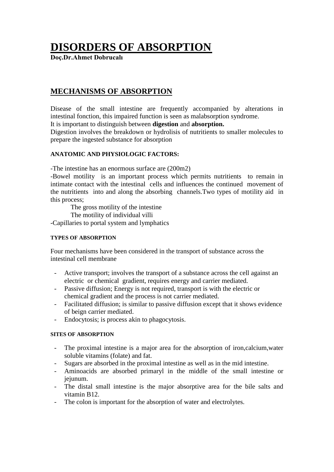# **DISORDERS OF ABSORPTION**

**Doç.Dr.Ahmet Dobrucalı**

# **MECHANISMS OF ABSORPTION**

Disease of the small intestine are frequently accompanied by alterations in intestinal fonction, this impaired function is seen as malabsorption syndrome.

It is important to distinguish between **digestion** and **absorption.**

Digestion involves the breakdown or hydrolisis of nutritients to smaller molecules to prepare the ingested substance for absorption

# **ANATOMIC AND PHYSIOLOGIC FACTORS:**

-The intestine has an enormous surface are (200m2)

-Bowel motility is an important process which permits nutritients to remain in intimate contact with the intestinal cells and influences the continued movement of the nutritients into and along the absorbing channels.Two types of motility aid in this process;

The gross motility of the intestine

The motility of individual villi

-Capillaries to portal system and lymphatics

# **TYPES OF ABSORPTION**

Four mechanisms have been considered in the transport of substance across the intestinal cell membrane

- Active transport; involves the transport of a substance across the cell against an electric or chemical gradient, requires energy and carrier mediated.
- Passive diffusion; Energy is not required, transport is with the electric or chemical gradient and the process is not carrier mediated.
- Facilitated diffusion; is similar to passive diffusion except that it shows evidence of beign carrier mediated.
- Endocytosis; is process akin to phagocytosis.

# **SITES OF ABSORPTION**

- The proximal intestine is a major area for the absorption of iron,calcium,water soluble vitamins (folate) and fat.
- Sugars are absorbed in the proximal intestine as well as in the mid intestine.
- Aminoacids are absorbed primaryl in the middle of the small intestine or jejunum.
- The distal small intestine is the major absorptive area for the bile salts and vitamin B12.
- The colon is important for the absorption of water and electrolytes.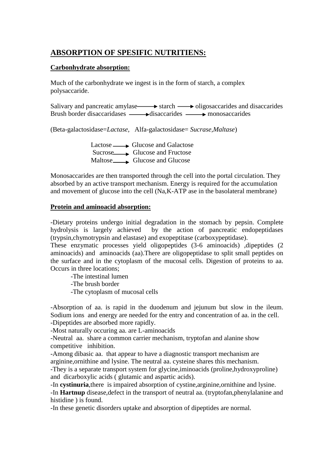# **ABSORPTION OF SPESIFIC NUTRITIENS:**

# **Carbonhydrate absorption:**

Much of the carbonhydrate we ingest is in the form of starch, a complex polysaccaride.

Salivary and pancreatic amylase starch  $\longrightarrow$  oligosaccarides and disaccarides Brush border disaccaridases  $\longrightarrow$  disaccarides monosaccarides

(Beta-galactosidase=*Lactase,* Alfa-galactosidase= *Sucrase,Maltase*)

 $Lactose \longrightarrow Glucose$  and Galactose Sucrose Glucose and Fructose Maltose Glucose and Glucose

Monosaccarides are then transported through the cell into the portal circulation. They absorbed by an active transport mechanism. Energy is required for the accumulation and movement of glucose into the cell (Na,K-ATP ase in the basolateral membrane)

# **Protein and aminoacid absorption:**

-Dietary proteins undergo initial degradation in the stomach by pepsin. Complete hydrolysis is largely achieved by the action of pancreatic endopeptidases (trypsin,chymotrypsin and elastase) and exopeptitase (carboxypeptidase).

These enzymatic processes yield oligopeptides (3-6 aminoacids) ,dipeptides (2 aminoacids) and aminoacids (aa).There are oligopeptidase to split small peptides on the surface and in the cytoplasm of the mucosal cells. Digestion of proteins to aa. Occurs in three locations;

-The intestinal lumen

-The brush border

-The cytoplasm of mucosal cells

-Absorption of aa. is rapid in the duodenum and jejunum but slow in the ileum. Sodium ions and energy are needed for the entry and concentration of aa. in the cell. -Dipeptides are absorbed more rapidly.

-Most naturally occuring aa. are L-aminoacids

-Neutral aa. share a common carrier mechanism, tryptofan and alanine show competitive inhibition.

-Among dibasic aa. that appear to have a diagnostic transport mechanism are arginine,ornithine and lysine. The neutral aa. cysteine shares this mechanism.

-They is a separate transport system for glycine,iminoacids (proline,hydroxyproline) and dicarboxylic acids ( glutamic and aspartic acids).

-In **cystinuria**,there is impaired absorption of cystine,arginine,ornithine and lysine.

-In **Hartnup** disease,defect in the transport of neutral aa. (tryptofan,phenylalanine and histidine ) is found.

-In these genetic disorders uptake and absorption of dipeptides are normal.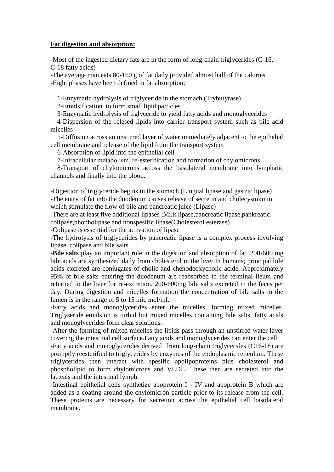# **Fat digestion and absorption:**

-Most of the ingested dietary fats are in the form of long-chain triglycerides (C-16, C-18 fatty acids)

-The average man eats 80-160 g of fat daily provided almost half of the calories -Eight phases have been defined in fat absorption;

1-Enzymatic hydrolysis of triglyceride in the stomach (Trybutyrase)

2-Emulsification to form small lipid particles

3-Enzymatic hydrolysis of trglyceride to yield fatty acids and monoglycerides

 4-Dispersion of the relesed lipids into carrier transport system such as bile acid micelles

 5-Diffusion across an unstirred layer of water immediately adjacent to the epithelial cell membrane and release of the lipid from the transport system

6-Absorption of lipid into the epithelial cell

7-İntracellular metabolism, re-esterification and formation of chylomicrons

 8-Transport of chylomicrons across the basolateral membrane into lymphatic channels and finally into the blood.

-Digestion of triglyceride begins in the stomach.(Lingual lipase and gastric lipase) -The entry of fat into the duodenum causes release of secretin and cholecystokinin which stimulate the flow of bile and pancreatic juice (Lipase)

-There are at least five additional lipases ;Milk lipase,pancreatic lipase,pankreatic colipase,phopholipase and nonspesific lipase(Cholesterol esterase)

-Colipase is essential for the activation of lipase

-The hydrolysis of triglycerides by pancreatic lipase is a complex process involving lipase, colipase and bile salts.

**-Bile salts** play an important role in the digestion and absorption of fat. 200-600 mg bile acids are synthesized daily from cholesterol in the liver.In humans; principal bile acids excreted are conjugates of cholic and chenodeoxycholic acide. Approximately 95% of bile salts entering the duodenum are reabsorbed in the terminal ileum and returned to the liver for re-excretion. 200-600mg bile salts excreted in the feces per day. During digestion and micelles formation the concentration of bile salts in the lumen is in the range of 5 to 15 mic mol/ml.

-Fatty acids and monoglycerides enter the micelles, forming mixed micelles. Triglyseride emulsion is turbid but mixed micelles containing bile salts, fatty acids and monoglycerides form clear solutions.

-After the forming of mixed micelles the lipids pass through an unstirred water layer covering the intestinal cell surface.Fatty acids and monoglycerides can enter the cell.

-Fatty acids and monoglycerides derived from long-chain triglycerides (C16-18) are promptly reesterified to triglycerides by enzymes of the endoplasmic reticulum. These triglycerides then interact with spesific apolipoproteins plus cholesterol and phospholipid to form chylomicrons and VLDL. These then are secreted into the lacteals and the intestinal lymph.

-Intestinal epithelial cells synthetize apoprotein I - IV and apoprotein B which are added as a coating around the chylomicron particle prior to its release from the cell. These proteins are necessary for secretion across the epithelial cell basolateral membrane.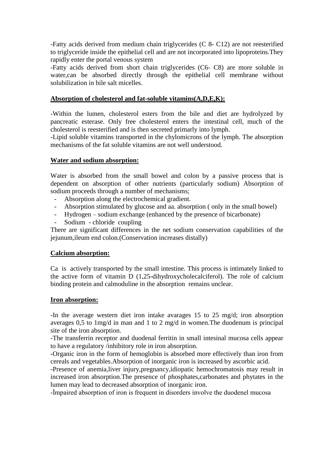-Fatty acids derived from medium chain triglycerides (C 8- C12) are not reesterified to triglyceride inside the epithelial cell and are not incorporated into lipoproteins.They rapidly enter the portal venous system

-Fatty acids derived from short chain triglycerides (C6- C8) are more soluble in water,can be absorbed directly through the epithelial cell membrane without solubilization in bile salt micelles.

# **Absorption of cholesterol and fat-soluble vitamins(A,D,E,K):**

-Within the lumen, cholesterol esters from the bile and diet are hydrolyzed by pancreatic esterase. Only free cholesterol enters the intestinal cell, much of the cholesterol is reesterified and is then secreted primarly into lymph.

-Lipid soluble vitamins transported in the chylomicrons of the lymph. The absorption mechanisms of the fat soluble vitamins are not well understood.

# **Water and sodium absorption:**

Water is absorbed from the small bowel and colon by a passive process that is dependent on absorption of other nutrients (particularly sodium) Absorption of sodium proceeds through a number of mechanisms;

- Absorption along the electrochemical gradient.
- Absorption stimulated by glucose and aa. absorption ( only in the small bowel)
- Hydrogen sodium exchange (enhanced by the presence of bicarbonate)
- Sodium chloride coupling

There are significant differences in the net sodium conservation capabilities of the jejunum,ileum end colon.(Conservation increases distally)

# **Calcium absorption:**

Ca is actively transported by the small intestine. This process is intimately linked to the active form of vitamin D (1,25-dihydroxycholecalciferol). The role of calcium binding protein and calmoduline in the absorption remains unclear.

# **Iron absorption:**

-In the average western diet iron intake avarages 15 to 25 mg/d; iron absorption averages 0,5 to 1mg/d in man and 1 to 2 mg/d in women.The duodenum is principal site of the iron absorption.

-The transferrin receptor and duodenal ferritin in small intesinal mucosa cells appear to have a regulatory /inhibitory role in iron absorption.

-Organic iron in the form of hemoglobin is absorbed more effectively than iron from cereals and vegetables.Absorption of inorganic iron is increased by ascorbic acid.

-Presence of anemia,liver injury,pregnancy,idiopatic hemochromatosis may result in increased iron absorption.The presence of phosphates,carbonates and phytates in the lumen may lead to decreased absorption of inorganic iron.

-İmpaired absorption of iron is frequent in disorders involve the duodenel mucosa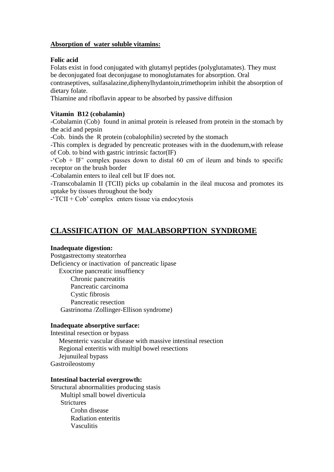# **Absorption of water soluble vitamins:**

# **Folic acid**

Folats exist in food conjugated with glutamyl peptides (polyglutamates). They must be deconjugated foat deconjugase to monoglutamates for absorption. Oral contraseptives, sulfasalazine,diphenylhydantoin,trimethoprim inhibit the absorption of dietary folate.

Thiamine and riboflavin appear to be absorbed by passive diffusion

# **Vitamin B12 (cobalamin)**

-Cobalamin (Cob) found in animal protein is released from protein in the stomach by the acid and pepsin

-Cob. binds the R protein (cobalophilin) secreted by the stomach

-This complex is degraded by pencreatic proteases with in the duodenum,with release of Cob. to bind with gastric intrinsic factor(IF)

 $-°Cob + IF'$  complex passes down to distal 60 cm of ileum and binds to specific receptor on the brush border

-Cobalamin enters to ileal cell but IF does not.

-Transcobalamin II (TCII) picks up cobalamin in the ileal mucosa and promotes its uptake by tissues throughout the body

-'TCII + Cob' complex enters tissue via endocytosis

# **CLASSIFICATION OF MALABSORPTION SYNDROME**

# **Inadequate digestion:**

Postgastrectomy steatorrhea Deficiency or inactivation of pancreatic lipase Exocrine pancreatic insuffiency Chronic pancreatitis Pancreatic carcinoma Cystic fibrosis Pancreatic resection Gastrinoma /Zollinger-Ellison syndrome)

# **Inadequate absorptive surface:**

Intestinal resection or bypass Mesenteric vascular disease with massive intestinal resection Regional enteritis with multipl bowel resections Jejunuileal bypass Gastroileostomy

# **Intestinal bacterial overgrowth:**

Structural abnormalities producing stasis Multipl small bowel diverticula **Strictures** Crohn disease Radiation enteritis Vasculitis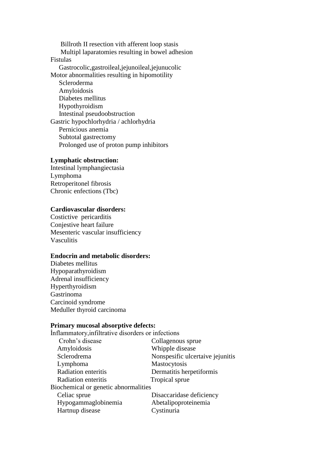Billroth II resection vith afferent loop stasis Multipl laparatomies resulting in bowel adhesion Fistulas Gastrocolic,gastroileal,jejunoileal,jejunucolic Motor abnormalities resulting in hipomotility Scleroderma Amyloidosis Diabetes mellitus Hypothyroidism Intestinal pseudoobstruction Gastric hypochlorhydria / achlorhydria Pernicious anemia Subtotal gastrectomy Prolonged use of proton pump inhibitors

# **Lymphatic obstruction:**

Intestinal lymphangiectasia Lymphoma Retroperitonel fibrosis Chronic enfections (Tbc)

# **Cardiovascular disorders:**

Costictive pericarditis Conjestive heart failure Mesenteric vascular insufficiency Vasculitis

# **Endocrin and metabolic disorders:**

Diabetes mellitus Hypoparathyroidism Adrenal insufficiency Hyperthyroidism Gastrinoma Carcinoid syndrome Meduller thyroid carcinoma

#### **Primary mucosal absorptive defects:**

| Inflammatory, infiltrative disorders or infections |                                  |
|----------------------------------------------------|----------------------------------|
| Crohn's disease                                    | Collagenous sprue                |
| Amyloidosis                                        | Whipple disease                  |
| Sclerodrema                                        | Nonspesific ulcertaive jejunitis |
| Lymphoma                                           | Mastocytosis                     |
| Radiation enteritis                                | Dermatitis herpetiformis         |
| Radiation enteritis                                | Tropical sprue                   |
| Biochemical or genetic abnormalities               |                                  |
| Celiac sprue                                       | Disaccaridase deficiency         |
| Hypogammaglobinemia                                | Abetalipoproteinemia             |
| Hartnup disease                                    | Cystinuria                       |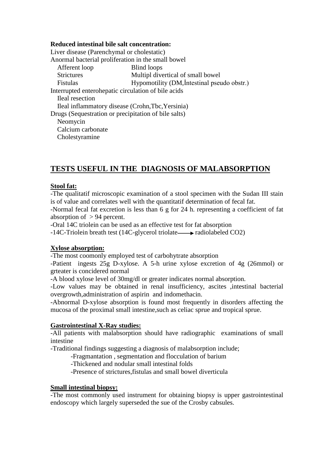# **Reduced intestinal bile salt concentration:**

Liver disease (Parenchymal or cholestatic) Anormal bacterial proliferation in the small bowel Afferent loop Blind loops Strictures Multipl divertical of small bowel Fistulas Hypomotility (DM, Intestinal pseudo obstr.) Interrupted enterohepatic circulation of bile acids Ileal resection Ileal inflammatory disease (Crohn,Tbc,Yersinia) Drugs (Sequestration or precipitation of bile salts) Neomycin Calcium carbonate Cholestyramine

# **TESTS USEFUL IN THE DIAGNOSIS OF MALABSORPTION**

# **Stool fat:**

-The qualitatif microscopic examination of a stool specimen with the Sudan III stain is of value and correlates well with the quantitatif determination of fecal fat.

-Normal fecal fat excretion is less than 6 g for 24 h. representing a coefficient of fat absorption of > 94 percent.

-Oral 14C triolein can be used as an effective test for fat absorption

 $-14C$ -Triolein breath test (14C-glycerol triolate  $\rightarrow$  radiolabeled CO2)

# **Xylose absorption:**

-The most coomonly employed test of carbohytrate absorption

-Patient ingests 25g D-xylose. A 5-h urine xylose excretion of 4g (26mmol) or grteater is concidered normal

-A blood xylose level of 30mg/dl or greater indicates normal absorption.

-Low values may be obtained in renal insufficiency, ascites ,intestinal bacterial overgrowth,administration of aspirin and indomethacin.

-Abnormal D-xylose absorption is found most frequently in disorders affecting the mucosa of the proximal small intestine,such as celiac sprue and tropical sprue.

# **Gastrointestinal X-Ray studies:**

-All patients with malabsorption should have radiographic examinations of small intestine

-Traditional findings suggesting a diagnosis of malabsorption include;

-Fragmantation , segmentation and flocculation of barium

-Thickened and nodular small intestinal folds

-Presence of strictures,fistulas and small bowel diverticula

# **Small intestinal biopsy:**

-The most commonly used instrument for obtaining biopsy is upper gastrointestinal endoscopy which largely superseded the sue of the Crosby cabsules.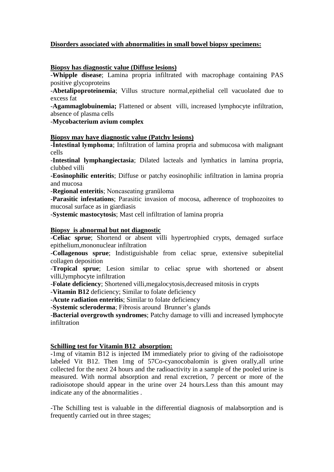# **Disorders associated with abnormalities in small bowel biopsy specimens:**

# **Biopsy has diagnostic value (Diffuse lesions)**

-**Whipple disease**; Lamina propria infiltrated with macrophage containing PAS positive glycoproteins

-**Abetalipoproteinemia**; Villus structure normal,epithelial cell vacuolated due to excess fat

-**Agammaglobuinemia;** Flattened or absent villi, increased lymphocyte infiltration, absence of plasma cells

-**Mycobacterium avium complex**

#### **Biopsy may have diagnostic value (Patchy lesions)**

-**İntestinal lymphoma**; Infiltration of lamina propria and submucosa with malignant cells

-**Intestinal lymphangiectasia**; Dilated lacteals and lymhatics in lamina propria, clubbed villi

**-Eosinophilic enteritis**; Diffuse or patchy eosinophilic infiltration in lamina propria and mucosa

-**Regional enteritis**; Noncaseating granüloma

-**Parasitic infestations**; Parasitic invasion of mocosa, adherence of trophozoites to mucosal surface as in giardiasis

-**Systemic mastocytosis**; Mast cell infiltration of lamina propria

#### **Biopsy is abnormal but not diagnostic**

-**Celiac sprue**; Shortend or absent villi hypertrophied crypts, demaged surface epithelium,mononuclear infiltration

-**Collagenous sprue**; Indistiguishable from celiac sprue, extensive subepitelial collagen deposition

-**Tropical sprue**; Lesion similar to celiac sprue with shortened or absent villi,lymphocyte infiltration

-**Folate deficiency**; Shortened villi,megalocytosis,decreased mitosis in crypts

-**Vitamin B12** deficiency; Similar to folate deficiency

-**Acute radiation enteritis**; Similar to folate deficiency

-**Systemic scleroderma**; Fibrosis around Brunner's glands

-**Bacterial overgrowth syndromes**; Patchy damage to villi and increased lymphocyte infiltration

# **Schilling test for Vitamin B12 absorption:**

-1mg of vitamin B12 is injected IM immediately prior to giving of the radioisotope labeled Vit B12. Then 1mg of 57Co-cyanocobalomin is given orally,all urine collected for the next 24 hours and the radioactivity in a sample of the pooled urine is measured. With normal absorption and renal excretion, 7 percent or more of the radioisotope should appear in the urine over 24 hours.Less than this amount may indicate any of the abnormalities .

-The Schilling test is valuable in the differential diagnosis of malabsorption and is frequently carried out in three stages;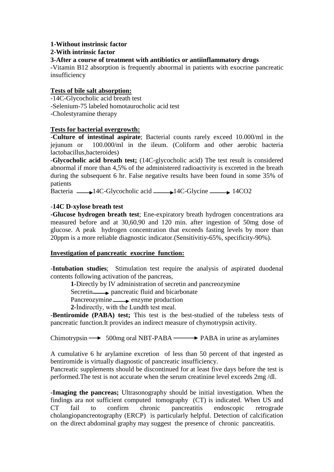# **1-Without instrinsic factor**

# **2-With intrinsic factor**

# **3-After a course of treatment with antibiotics or antiinflammatory drugs**

**-**Vitamin B12 absorption is frequently abnormal in patients with exocrine pancreatic insufficiency

# **Tests of bile salt absorption:**

-14C-Glycocholic acid breath test

-Selenium-75 labeled homotaurocholic acid test

-Cholestyramine therapy

# **Tests for bacterial overgrowth:**

-**Culture of intestinal aspirate**; Bacterial counts rarely exceed 10.000/ml in the jejunum or 100.000/ml in the ileum. (Coliform and other aerobic bacteria lactobacillus,bacteroides)

-**Glycocholic acid breath test;** (14C-glycocholic acid) The test result is considered abnormal if more than 4,5% of the administered radioactivity is excreted in the breath during the subsequent 6 hr. False negative results have been found in some 35% of patients

Bacteria  $\longrightarrow$  14C-Glycocholic acid  $\longrightarrow$  14C-Glycine 14CO2

# -**14C D-xylose breath test**

**-Glucose hydrogen breath test**; Ene-expiratory breath hydrogen concentrations ara measured before and at 30,60,90 and 120 min. after ingestion of 50mg dose of glucose. A peak hydrogen concentration that exceeds fasting levels by more than 20ppm is a more reliable diagnostic indicator.(Sensitivitiy-65%, specificity-90%).

# **Investigation of pancreatic exocrine function:**

-**Intubation studies**; Stimulation test require the analysis of aspirated duodenal contents following activation of the pancreas,

**1**-Directly by IV administration of secretin and pancreozymine

Secretin— $\rightarrow$  pancreatic fluid and bicarbonate

Pancreozymine enzyme production

**2-**İndirectly, with the Lundth test meal.

-**Bentiromide (PABA) test;** This test is the best-studied of the tubeless tests of pancreatic function.It provides an indirect measure of chymotrypsin activity.

Chimotrypsin  $\longrightarrow$  500mg oral NBT-PABA  $\longrightarrow$  PABA in urine as arylamines

A cumulative 6 hr arylamine excretion of less than 50 percent of that ingested as bentiromide is virtually diagnostic of pancreatic insufficiency.

Pancreatic supplements should be discontinued for at least five days before the test is performed.The test is not accurate when the serum creatinine level exceeds 2mg /dl.

**-Imaging the pancreas;** Ultrasonography should be initial investigation. When the findings ara not sufficient computed tomography (CT) is indicated. When US and CT fail to confirm chronic pancreatitis endoscopic retrograde cholangiopancreotography (ERCP) is particularly helpful. Detection of calcification on the direct abdominal graphy may suggest the presence of chronic pancreatitis.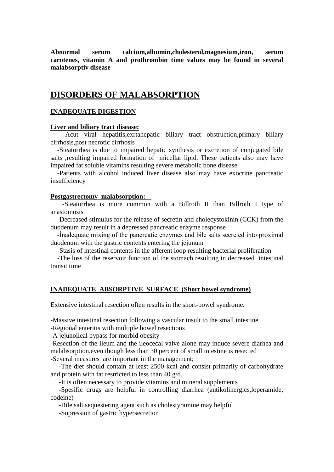**Abnormal serum calcium,albumin,cholesterol,magnesium,iron, serum carotenes, vitamin A and prothrombin time values may be found in several malabsorptiv disease**

# **DISORDERS OF MALABSORPTION**

# **INADEQUATE DIGESTION**

#### **Liver and biliary tract disease:**

 - Acut viral hepatitis,exrtahepatic biliary tract obstruction,primary biliary cirrhosis,post necrotic cirrhosis

 -Steatorrhea is due to impaired hepatic synthesis or excretion of conjugated bile salts ,resulting impaired formation of micellar lipid. These patients also may have impaired fat soluble vitamins resulting severe metabolic bone disease

 -Patients with alcohol induced liver disease also may have exocrine pancreatic insufficiency

#### **Postgastrectomy malabsorption:**

 -Steatorrhea is more common with a Billroth II than Billroth I type of anastomosis

 -Decreased stimulus for the release of secretin and cholecystokinin (CCK) from the duodenum may result in a depressed pancreatic enzyme response

 -İnadequate mixing of the pancreatic enzymes and bile salts secreted into proximal duodenum with the gastric contents entering the jejunum

-Stasis of intestinal contents in the afferent loop resulting bacterial proliferation

 -The loss of the reservoir function of the stomach resulting in decreased intestinal transit time

#### **INADEQUATE ABSORPTIVE SURFACE (Short bowel syndrome)**

Extensive intestinal resection often results in the short-bowel syndrome.

-Massive intestinal resection following a vascular insult to the small intestine

-Regional enteritis with multiple bowel resections

-A jejunoileal bypass for morbid obesity

-Resection of the ileum and the ileocecal valve alone may induce severe diarhea and malabsorption,even though less than 30 percent of small intestine is resected -Several measures are important in the management;

 -The diet should contain at least 2500 kcal and consist primarily of carbohydrate and protein with fat restricted to less than 40 g/d.

-It is often necessary to provide vitamins and mineral supplements

 -Spesific drugs are helpful in controlling diarrhea (antikolinergics,loperamide, codeine)

-Bile salt sequestering agent such as cholestyramine may helpful

-Supression of gastric hypersecretion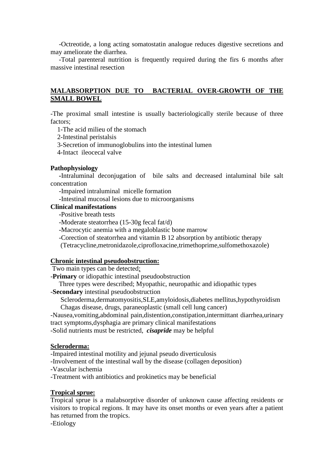-Octreotide, a long acting somatostatin analogue reduces digestive secretions and may ameliorate the diarrhea.

 -Total parenteral nutrition is frequently required during the firs 6 months after massive intestinal resection

# **MALABSORPTION DUE TO BACTERIAL OVER-GROWTH OF THE SMALL BOWEL**

-The proximal small intestine is usually bacteriologically sterile because of three factors;

1-The acid milieu of the stomach

2-Intestinal peristalsis

- 3-Secretion of immunoglobulins into the intestinal lumen
- 4-Intact ileocecal valve

#### **Pathophysiology**

 **-**Intraluminal deconjugation of bile salts and decreased intaluminal bile salt concentration

-Impaired intraluminal micelle formation

-Intestinal mucosal lesions due to microorganisms

# **Clinical manifestations**

 **-**Positive breath tests

- -Moderate steatorrhea (15-30g fecal fat/d)
- -Macrocytic anemia with a megaloblastic bone marrow
- -Corection of steatorrhea and vitamin B 12 absorption by antibiotic therapy

(Tetracycline,metronidazole,ciprofloxacine,trimethoprime,sulfomethoxazole)

#### **Chronic intestinal pseudoobstruction:**

Two main types can be detected;

-**Primary** or idiopathic intestinal pseudoobstruction

Three types were described; Myopathic, neuropathic and idiopathic types

-**Secondary** intestinal pseudoobstruction

 Scleroderma,dermatomyositis,SLE,amyloidosis,diabetes mellitus,hypothyroidism Chagas disease, drugs, paraneoplastic (small cell lung cancer)

-Nausea,vomiting,abdominal pain,distention,constipation,intermittant diarrhea,urinary tract symptoms,dysphagia are primary clinical manifestations

-Solid nutrients must be restricted, *cisapride* may be helpful

# **Scleroderma:**

-Impaired intestinal motility and jejunal pseudo diverticulosis

-Involvement of the intestinal wall by the disease (collagen deposition)

-Vascular ischemia

-Treatment with antibiotics and prokinetics may be beneficial

#### **Tropical sprue:**

Tropical sprue is a malabsorptive disorder of unknown cause affecting residents or visitors to tropical regions. It may have its onset months or even years after a patient has returned from the tropics.

-Etiology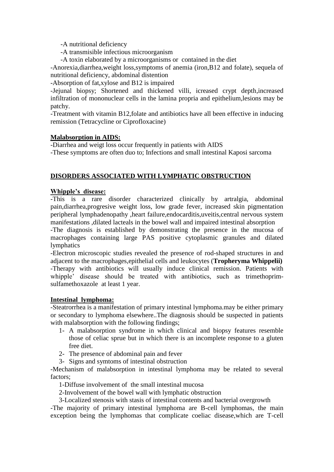-A nutritional deficiency

-A transmisible infectious microorganism

-A toxin elaborated by a microorganisms or contained in the diet

-Anorexia,diarrhea,weight loss,symptoms of anemia (iron,B12 and folate), sequela of nutritional deficiency, abdominal distention

-Absorption of fat,xylose and B12 is impaired

-Jejunal biopsy; Shortened and thickened villi, icreased crypt depth,increased infiltration of mononuclear cells in the lamina propria and epithelium,lesions may be patchy.

-Treatment with vitamin B12,folate and antibiotics have all been effective in inducing remission (Tetracycline or Ciprofloxacine)

# **Malabsorption in AIDS:**

-Diarrhea and weigt loss occur frequently in patients with AIDS -These symptoms are often duo to; Infections and small intestinal Kaposi sarcoma

# **DISORDERS ASSOCIATED WITH LYMPHATIC OBSTRUCTION**

# **Whipple's disease:**

-This is a rare disorder characterized clinically by artralgia, abdominal pain,diarrhea,progresive weight loss, low grade fever, increased skin pigmentation peripheral lymphadenopathy ,heart failure,endocarditis,uveitis,central nervous system manifestations ,dilated lacteals in the bowel wall and impaired intestinal absorption

-The diagnosis is established by demonstrating the presence in the mucosa of macrophages containing large PAS positive cytoplasmic granules and dilated lymphatics

-Electron microscopic studies revealed the presence of rod-shaped structures in and adjacent to the macrophages,epithelial cells and leukocytes (**Tropheryma Whippelii)**  -Therapy with antibiotics will usually induce clinical remission. Patients with whipple' disease should be treated with antibiotics, such as trimethoprimsulfamethoxazole at least 1 year.

# **Intestinal lymphoma:**

-Steatrorrhea is a manifestation of primary intestinal lymphoma.may be either primary or secondary to lymphoma elsewhere..The diagnosis should be suspected in patients with malabsorption with the following findings;

- 1- A malabsorption syndrome in which clinical and biopsy features resemble those of celiac sprue but in which there is an incomplete response to a gluten free diet.
- 2- The presence of abdominal pain and fever
- 3- Signs and symtoms of intestinal obstruction

-Mechanism of malabsorption in intestinal lymphoma may be related to several factors;

1-Diffuse involvement of the small intestinal mucosa

2-Involvement of the bowel wall with lymphatic obstruction

3-Localized stenosis with stasis of intestinal contents and bacterial overgrowth

-The majority of primary intestinal lymphoma are B-cell lymphomas, the main exception being the lymphomas that complicate coeliac disease,which are T-cell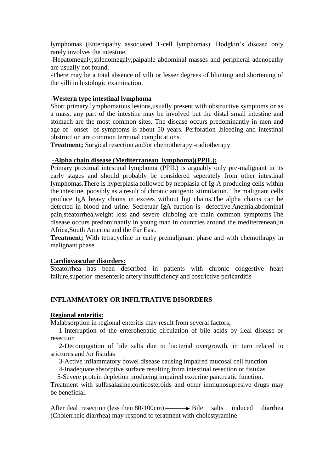lymphomas (Enteropathy associated T-cell lymphomas). Hodgkin's disease only rarely involves the intestine.

-Hepatomegaly,splenomegaly,palpable abdominal masses and peripheral adenopathy are usually not found.

-There may be a total absence of villi or lesser degrees of blunting and shortening of the villi in histologic examination.

# **-Western type intestinal lymphoma**

Short primary lymphomatous lesions,usually present with obstructive symptoms or as a mass, any part of the intestine may be involved but the distal small intestine and stomach are the most common sites. The disease occurs predominantly in men and age of onset of symptoms is about 50 years. Perforation ,bleeding and intestinal obstruction are common terminal complications.

**Treatment;** Surgical resection and/or chemotherapy -radiotherapy

# **-Alpha chain disease (Mediterranean lymphoma)(PPIL):**

Primary proximal intestinal lymphoma (PPIL) is arguably only pre-malignant in its early stages and should probably be considered seperately from other intestinal lymphomas.There is hyperplasia followed by neoplasia of Ig-A producing cells within the intestine, poosibly as a result of chronic antigenic stimulation. The malignant cells produce IgA heavy chains in excees without ligt chains.The alpha chains can be detected in blood and urine. Secretuar IgA fuction is defective.Anemia,abdominal pain,steatorrhea,weight loss and severe clubbing are main common symptoms.The disease occurs predominantly in young man in countries around the mediterrenean,in Africa,South America and the Far East.

**Treatment;** With tetracycline in early premalignant phase and with chemothrapy in malignant phase

#### **Cardiovascular disorders:**

Steatorrhea has been described in patients with chronic congestive heart failure,superior mesenteric artery insufficiency and costrictive pericarditis

# **INFLAMMATORY OR INFILTRATIVE DISORDERS**

#### **Regional enteritis:**

Malabsorption in regional enteritis may result from several factors;

 1-Interruption of the enterohepatic circulation of bile acids by ileal disease or resection

 2-Deconjugation of bile salts due to bacterial overgrowth, in turn related to srictures and /or fistulas

3-Active inflammatory bowel disease causing impaired mucosal cell function

4-Inadequate absorptive surface resulting from intestinal resection or fistulas

5-Severe protein depletion producing impaired exocrine pancreatic function.

Treatment with sulfasalazine,corticosteroids and other immunosupresive drugs may be beneficial.

After ileal resection (less then  $80-100$ cm)  $\rightarrow$  Bile salts induced diarrhea (Cholerrheic diarrhea) may respond to teratment with cholestyramine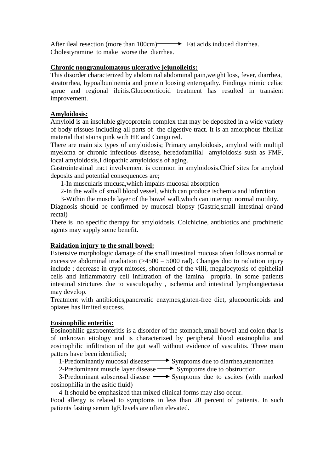After ileal resection (more than 100cm) Fat acids induced diarrhea. Cholestyramine to make worse the diarrhea.

#### **Chronic nongranulomatous ulcerative jejunoileitis:**

This disorder characterized by abdominal abdominal pain,weight loss, fever, diarrhea, steatorrhea, hypoalbuninemia and protein loosing enteropathy. Findings mimic celiac sprue and regional ileitis.Glucocorticoid treatment has resulted in transient improvement.

# **Amyloidosis:**

Amyloid is an insoluble glycoprotein complex that may be deposited in a wide variety of body trissues including all parts of the digestive tract. It is an amorphous fibrillar material that stains pink with HE and Congo red.

There are main six types of amyloidosis; Primary amyloidosis, amyloid with multipl myeloma or chronic infectious disease, heredofamilial amyloidosis sush as FMF, local amyloidosis,I diopathic amyloidosis of aging.

Gastrointestinal tract involvement is common in amyloidosis.Chief sites for amyloid deposits and potential consequences are;

1-In muscularis mucusa,which impairs mucosal absorption

2-In the walls of small blood vessel, which can produce ischemia and infarction

3-Within the muscle layer of the bowel wall,which can interrupt normal motility.

Diagnosis should be confirmed by mucosal biopsy (Gastric, small intestinal or/and rectal)

There is no specific therapy for amyloidosis. Colchicine, antibiotics and prochinetic agents may supply some benefit.

# **Raidation injury to the small bowel:**

Extensive morphologic damage of the small intestinal mucosa often follows normal or excessive abdominal irradiation  $($ >4500 – 5000 rad). Changes duo to radiation injury include ; decrease in crypt mitoses, shortened of the villi, megalocytosis of epithelial cells and inflammatory cell infiltration of the lamina propria. In some patients intestinal strictures due to vasculopathy , ischemia and intestinal lymphangiectasia may develop.

Treatment with antibiotics,pancreatic enzymes,gluten-free diet, glucocorticoids and opiates has limited success.

# **Eosinophilic enteritis:**

Eosinophilic gastroenteritis is a disorder of the stomach,small bowel and colon that is of unknown etiology and is characterized by peripheral blood eosinophilia and eosinophilic infiltration of the gut wall without evidence of vasculitis. Three main patters have been identified;

1-Predominantly mucosal disease Symptoms due to diarrhea, steatorrhea

2-Predominant muscle layer disease  $\longrightarrow$  Symptoms due to obstruction

3-Predominant subserosal disease  $\longrightarrow$  Symptoms due to ascites (with marked eosinophilia in the asitic fluid)

4-It should be emphasized that mixed clinical forms may also occur.

Food allergy is related to symptoms in less than 20 percent of patients. In such patients fasting serum IgE levels are often elevated.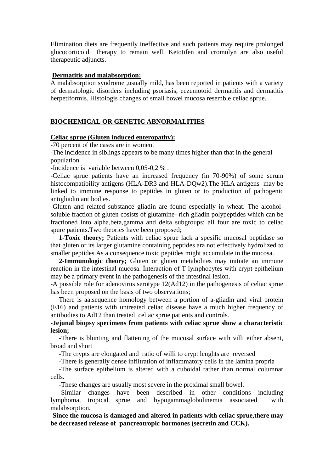Elimination diets are frequently ineffective and such patients may require prolonged glucocorticoid therapy to remain well. Ketotifen and cromolyn are also useful therapeutic adjuncts.

# **Dermatitis and malabsorption:**

A malabsorption syndrome ,usually mild, has been reported in patients with a variety of dermatologic disorders including psoriasis, eczemotoid dermatitis and dermatitis herpetiformis. Histologis changes of small bowel mucosa resemble celiac sprue.

# **BIOCHEMICAL OR GENETIC ABNORMALITIES**

# **Celiac sprue (Gluten induced enteropathy):**

-70 percent of the cases are in women.

-The incidence in siblings appears to be many times higher than that in the general population.

-Incidence is variable between 0,05-0,2 % .

-Celiac sprue patients have an increased frequency (in 70-90%) of some serum histocompatibility antigens (HLA-DR3 and HLA-DOw2). The HLA antigens may be linked to immune response to peptides in gluten or to production of pathogenic antigliadin antibodies.

-Gluten and related substance gliadin are found especially in wheat. The alcoholsoluble fraction of gluten cosists of glutamine- rich gliadin polypeptides which can be fractioned into alpha,beta,gamma and delta subgroups; all four are toxic to celiac spure patients.Two theories have been proposed;

**1-Toxic theory;** Patients with celiac sprue lack a spesific mucosal peptidase so that gluten or its larger glutamine containing peptides ara not effectively hydrolized to smaller peptides.As a consequence toxic peptides might accumulate in the mucosa.

 **2-Immunologic theory;** Gluten or gluten metabolites may initiate an immune reaction in the intestinal mucosa. İnteraction of T lymphocytes with crypt epithelium may be a primary event in the pathogenesis of the intestinal lesion.

-A possible role for adenovirus serotype 12(Ad12) in the pathogenesis of celiac sprue has been proposed on the basis of two observations;

 There is aa.sequence homology between a portion of a-gliadin and viral protein (E16) and patients with untreated celiac disease have a much higher frequency of antibodies to Ad12 than treated celiac sprue patients and controls.

# **-Jejunal biopsy specimens from patients with celiac sprue show a characteristic lesion;**

 -There is blunting and flattening of the mucosal surface with villi either absent, broad and short

-The crypts are elongated and ratio of willi to crypt lenghts are reversed

-There is generally dense infiltration of inflammatory cells in the lamina propria

 -The surface epithelium is altered with a cuboidal rather than normal columnar cells.

-These changes are usually most severe in the proximal small bowel.

 -Similar changes have been described in other conditions including lymphoma, tropical sprue and hypogammaglobulinemia associated with malabsorption.

-**Since the mucosa is damaged and altered in patients with celiac sprue,there may be decreased release of pancreotropic hormones (secretin and CCK).**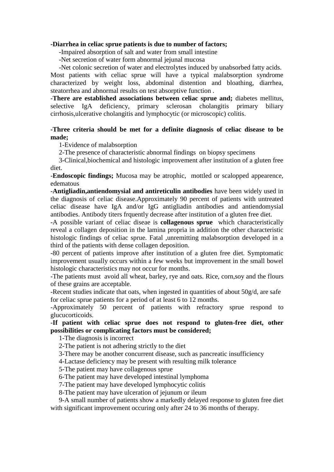#### **-Diarrhea in celiac sprue patients is due to number of factors;**

-Impaired absorption of salt and water from small intestine

-Net secretion of water form abnormal jejunal mucosa

 -Net colonic secretion of water and electrolytes induced by unabsorbed fatty acids. Most patients with celiac sprue will have a typical malabsorption syndrome characterized by weight loss, abdominal distention and bloathing, diarrhea, steatorrhea and abnormal results on test absorptive function .

-**There are established associations between celiac sprue and;** diabetes mellitus, selective IgA deficiency, primary sclerosan cholangitis primary biliary cirrhosis,ulcerative cholangitis and lymphocytic (or microscopic) colitis.

# **-Three criteria should be met for a definite diagnosis of celiac disease to be made;**

1-Evidence of malabsorption

2-The presence of characteristic abnormal findings on biopsy specimens

 3-Clinical,biochemical and histologic improvement after institution of a gluten free diet.

-**Endoscopic findings;** Mucosa may be atrophic, mottled or scalopped appearence, edematous

-**Antigliadin,antiendomysial and antireticulin antibodies** have been widely used in the diagnosis of celiac disease.Approximately 90 percent of patients with untreated celiac disease have IgA and/or IgG antigliadin antibodies and antiendomysial antibodies. Antibody titers frquently decrease after institution of a gluten free diet.

-A possible variant of celiac diseae is **collagenous sprue** which characteristically reveal a collagen deposition in the lamina propria in addition the other characteristic histologic findings of celiac sprue. Fatal ,unremitting malabsorption developed in a third of the patients with dense collagen deposition.

-80 percent of patients improve after institution of a gluten free diet. Symptomatic improvement usually occurs within a few weeks but improvement in the small bowel histologic characteristics may not occur for months.

-The patients must avoid all wheat, barley, rye and oats. Rice, corn,soy and the flours of these grains are acceptable.

-Recent studies indicate that oats, when ingested in quantities of about 50g/d, are safe for celiac sprue patients for a period of at least 6 to 12 months.

-Approximately 50 percent of patients with refractory sprue respond to glucucorticoids.

# -**If patient with celiac sprue does not respond to gluten-free diet, other possibilities or complicating factors must be considered;**

1-The diagnosis is incorrect

2-The patient is not adhering strictly to the diet

3-There may be another concurrent disease, such as pancreatic insufficiency

4-Lactase deficiency may be present with resulting milk tolerance

5-The patient may have collagenous sprue

6-The patient may have developed intestinal lymphoma

7-The patient may have developed lymphocytic colitis

8-The patient may have ulceration of jejunum or ileum

 9-A small number of patients show a markedly delayed response to gluten free diet with significant improvement occuring only after 24 to 36 months of therapy.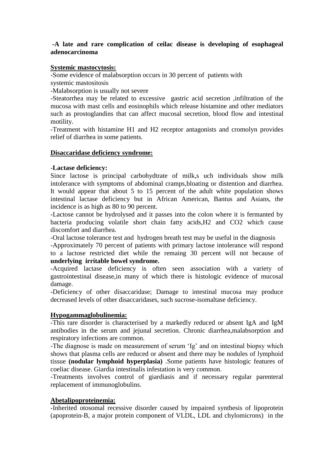# **-A late and rare complication of ceilac disease is developing of esophageal adenocarcinoma**

# **Systemic mastocytosis:**

-Some evidence of malabsorption occurs in 30 percent of patients with systemic mastositosis

-Malabsorption is usually not severe

-Steatorrhea may be related to excessive gastric acid secretion ,infiltration of the mucosa with mast cells and eosinophils which release histamine and other mediators such as prostoglandins that can affect mucosal secretion, blood flow and intestinal motility.

-Treatment with histamine H1 and H2 receptor antagonists and cromolyn provides relief of diarrhea in some patients.

# **Disaccaridase deficiency syndrome:**

# -**Lactase deficiency:**

Since lactose is principal carbohydtrate of milk,s uch individuals show milk intolerance with symptoms of abdominal cramps,bloating or distention and diarrhea. It would appear that about 5 to 15 percent of the adult white population shows intestinal lactase deficiency but in African American, Bantus and Asians, the incidence is as high as 80 to 90 percent.

-Lactose cannot be hydrolysed and it passes into the colon where it is fermanted by bacteria producing volatile short chain fatty acids,H2 and CO2 which cause discomfort and diarrhea.

-Oral lactose tolerance test and hydrogen breath test may be useful in the diagnosis

-Approximately 70 percent of patients with primary lactose intolerance will respond to a lactose restricted diet while the remaing 30 percent will not because of **underlying irritable bowel syndrome.**

-Acquired lactase deficiency is often seen association with a variety of gastrointestinal disease,in many of which there is histologic evidence of mucosal damage.

-Deficiency of other disaccaridase; Damage to intestinal mucosa may produce decreased levels of other disaccaridases, such sucrose-isomaltase deficiency.

# **Hypogammaglobulinemia:**

-This rare disorder is characterised by a markedly reduced or absent IgA and IgM antibodies in the serum and jejunal secretion. Chronic diarrhea,malabsorption and respiratory infections are common.

-The diagnose is made on measurement of serum 'Ig' and on intestinal biopsy which shows that plasma cells are reduced or absent and there may be nodules of lymphoid tissue **(nodular lymphoid hyperplasia)** .Some patients have histologic features of coeliac disease. Giardia intestinalis infestation is very common.

-Treatments involves control of giardiasis and if necessary regular parenteral replacement of immunoglobulins.

# **Abetalipoproteinemia:**

-Inherited otosomal recessive disorder caused by impaired synthesis of lipoprotein (apoprotein-B, a major protein component of VLDL, LDL and chylomicrons) in the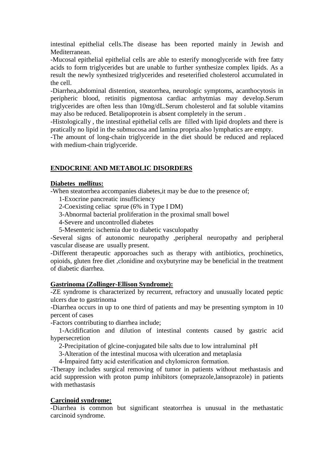intestinal epithelial cells.The disease has been reported mainly in Jewish and Mediterranean.

-Mucosal epithelial epithelial cells are able to esterify monoglyceride with free fatty acids to form triglycerides but are unable to further synthesize complex lipids. As a result the newly synthesized triglycerides and reseterified cholesterol accumulated in the cell.

-Diarrhea,abdominal distention, steatorrhea, neurologic symptoms, acanthocytosis in peripheric blood, retinitis pigmentosa cardiac arrhytmias may develop.Serum triglycerides are often less than 10mg/dL.Serum cholesterol and fat soluble vitamins may also be reduced. Betalipoprotein is absent completely in the serum .

-Histologically , the intestinal epithelial cells are filled with lipid droplets and there is pratically no lipid in the submucosa and lamina propria.also lymphatics are empty.

-The amount of long-chain triglyceride in the diet should be reduced and replaced with medium-chain triglyceride.

# **ENDOCRINE AND METABOLIC DISORDERS**

# **Diabetes mellitus:**

-When steatorrhea accompanies diabetes,it may be due to the presence of;

1-Exocrine pancreatic insufficiency

- 2-Coexisting celiac sprue (6% in Type I DM)
- 3-Abnormal bacterial proliferation in the proximal small bowel
- 4-Severe and uncontrolled diabetes
- 5-Mesenteric ischemia due to diabetic vasculopathy

-Several signs of autonomic neuropathy ,peripheral neuropathy and peripheral vascular disease are usually present.

-Different therapeutic apporoaches such as therapy with antibiotics, prochinetics, opioids, gluten free diet ,clonidine and oxybutyrine may be beneficial in the treatment of diabetic diarrhea.

# **Gastrinoma (Zollinger-Ellison Syndrome):**

-ZE syndrome is characterized by recurrent, refractory and unusually located peptic ulcers due to gastrinoma

-Diarrhea occurs in up to one third of patients and may be presenting symptom in 10 percent of cases

-Factors contributing to diarrhea include;

 1-Acidification and dilution of intestinal contents caused by gastric acid hypersecretion

2-Precipitation of glcine-conjugated bile salts due to low intraluminal pH

3-Alteration of the intestinal mucosa with ulceration and metaplasia

4-İmpaired fatty acid esterification and chylomicron formation.

-Therapy includes surgical removing of tumor in patients without methastasis and acid suppression with proton pump inhibitors (omeprazole,lansoprazole) in patients with methastasis

# **Carcinoid syndrome:**

-Diarrhea is common but significant steatorrhea is unusual in the methastatic carcinoid syndrome.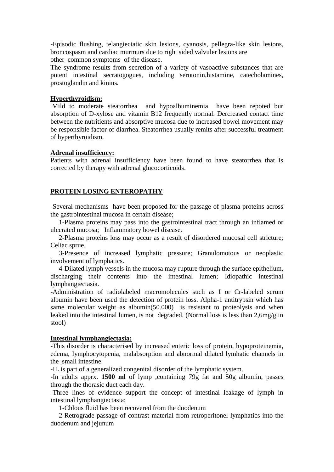-Episodic flushing, telangiectatic skin lesions, cyanosis, pellegra-like skin lesions, broncospasm and cardiac murmurs due to right sided valvuler lesions are other common symptoms of the disease.

The syndrome results from secretion of a variety of vasoactive substances that are potent intestinal secratogogues, including serotonin,histamine, catecholamines, prostoglandin and kinins.

#### **Hyperthyroidism:**

Mild to moderate steatorrhea and hypoalbuminemia have been repoted bur absorption of D-xylose and vitamin B12 frequently normal. Dercreased contact time between the nutritients and absorptive mucosa due to increased bowel movement may be responsible factor of diarrhea. Steatorrhea usually remits after successful treatment of hyperthyroidism.

# **Adrenal insufficiency:**

Patients with adrenal insufficiency have been found to have steatorrhea that is corrected by therapy with adrenal glucocorticoids.

# **PROTEIN LOSING ENTEROPATHY**

-Several mechanisms have been proposed for the passage of plasma proteins across the gastrointestinal mucosa in certain disease;

 1-Plasma proteins may pass into the gastrointestinal tract through an inflamed or ulcerated mucosa; Inflammatory bowel disease.

 2-Plasma proteins loss may occur as a result of disordered mucosal cell stricture; Celiac sprue.

 3-Presence of increased lymphatic pressure; Granulomotous or neoplastic involvement of lymphatics.

 4-Dilated lymph vessels in the mucosa may rupture through the surface epithelium, discharging their contents into the intestinal lumen; Idiopathic intestinal lymphangiectasia.

-Administration of radiolabeled macromolecules such as I or Cr-labeled serum albumin have been used the detection of protein loss. Alpha-1 antitrypsin which has same molecular weight as albumin(50.000) is resistant to proteolysis and when leaked into the intestinal lumen, is not degraded. (Normal loss is less than 2,6mg/g in stool)

# **Intestinal lymphangiectasia:**

-This disorder is characterised by increased enteric loss of protein, hypoproteinemia, edema, lymphocytopenia, malabsorption and abnormal dilated lymhatic channels in the small intestine.

-IL is part of a generalized congenital disorder of the lymphatic system.

-In adults apprx. **1500 ml** of lymp ,containing 79g fat and 50g albumin, passes through the thorasic duct each day.

-Three lines of evidence support the concept of intestinal leakage of lymph in intestinal lymphangiectasia;

1-Chlous fluid has been recovered from the duodenum

 2-Retrograde passage of contrast material from retroperitonel lymphatics into the duodenum and jejunum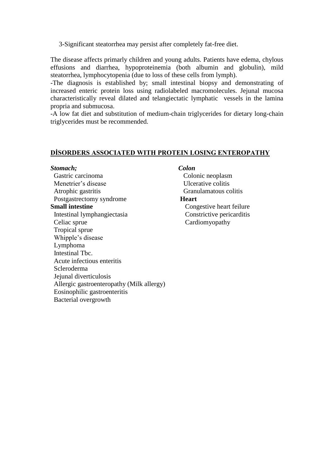3-Significant steatorrhea may persist after completely fat-free diet.

The disease affects primarly children and young adults. Patients have edema, chylous effusions and diarrhea, hypoproteinemia (both albumin and globulin), mild steatorrhea, lymphocytopenia (due to loss of these cells from lymph).

-The diagnosis is established by; small intestinal biopsy and demonstrating of increased enteric protein loss using radiolabeled macromolecules. Jejunal mucosa characteristically reveal dilated and telangiectatic lymphatic vessels in the lamina propria and submucosa.

-A low fat diet and substitution of medium-chain triglycerides for dietary long-chain triglycerides must be recommended.

#### **DİSORDERS ASSOCIATED WITH PROTEIN LOSING ENTEROPATHY**

#### *Stomach; Colon*

Gastric carcinoma<br>
Colonic neoplasm Menetrier's disease Ulcerative colitis Atrophic gastritis Granulamatous colitis Postgastrectomy syndrome **Heart Small intestine** Congestive heart feilure Intestinal lymphangiectasia Constrictive pericarditis Celiac sprue Cardiomyopathy Tropical sprue Whipple's disease Lymphoma Intestinal Tbc. Acute infectious enteritis Scleroderma Jejunal diverticulosis Allergic gastroenteropathy (Milk allergy) Eosinophilic gastroenteritis Bacterial overgrowth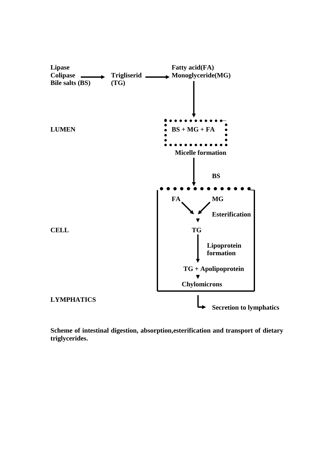

**Scheme of intestinal digestion, absorption,esterification and transport of dietary triglycerides.**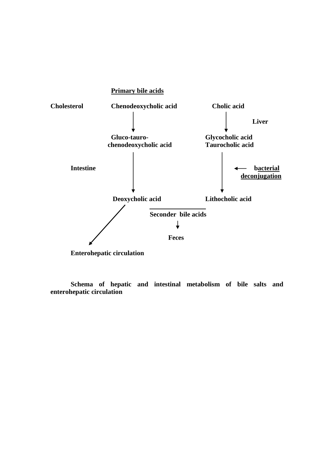

**Schema of hepatic and intestinal metabolism of bile salts and enterohepatic circulation**